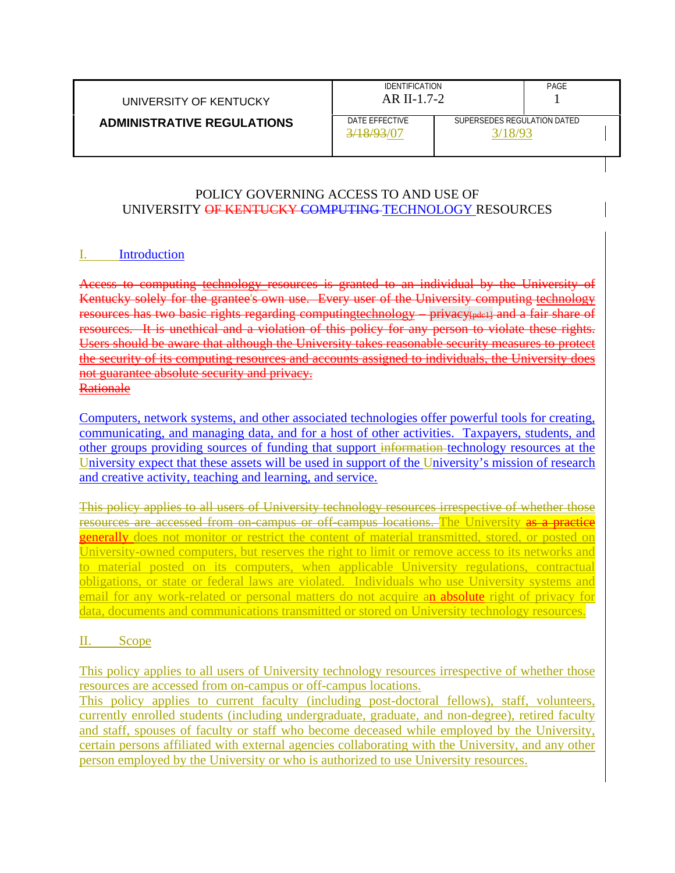| UNIVERSITY OF KENTUCKY            | <b>IDENTIFICATION</b><br>$AR$ II-1.7-2.  |                                      | PAGE |  |
|-----------------------------------|------------------------------------------|--------------------------------------|------|--|
| <b>ADMINISTRATIVE REGULATIONS</b> | DATE EFFECTIVE<br><del>3/18/93</del> /07 | SUPERSEDES REGULATION DATED<br>'18/9 |      |  |

#### POLICY GOVERNING ACCESS TO AND USE OF UNIVERSITY OF KENTUCKY COMPUTING TECHNOLOGY RESOURCES

#### I. Introduction

Access to computing technology resources is granted to an individual by the University of Kentucky solely for the grantee's own use. Every user of the University computing technology resources has two basic rights regarding computingtechnology privacy point and a fair share of resources. It is unethical and a violation of this policy for any person to violate these rights. Users should be aware that although the University takes reasonable security measures to protect the security of its computing resources and accounts assigned to individuals, the University does not guarantee absolute security and privacy. **Rationale** 

Computers, network systems, and other associated technologies offer powerful tools for creating, communicating, and managing data, and for a host of other activities. Taxpayers, students, and other groups providing sources of funding that support information technology resources at the University expect that these assets will be used in support of the University's mission of research and creative activity, teaching and learning, and service.

This policy applies to all users of University technology resources irrespective of whether those resources are accessed from on-campus or off-campus locations. The University as a practice generally does not monitor or restrict the content of material transmitted, stored, or posted on University-owned computers, but reserves the right to limit or remove access to its networks and to material posted on its computers, when applicable University regulations, contractual obligations, or state or federal laws are violated. Individuals who use University systems and email for any work-related or personal matters do not acquire an absolute right of privacy for data, documents and communications transmitted or stored on University technology resources.

#### II. Scope

This policy applies to all users of University technology resources irrespective of whether those resources are accessed from on-campus or off-campus locations.

This policy applies to current faculty (including post-doctoral fellows), staff, volunteers, currently enrolled students (including undergraduate, graduate, and non-degree), retired faculty and staff, spouses of faculty or staff who become deceased while employed by the University, certain persons affiliated with external agencies collaborating with the University, and any other person employed by the University or who is authorized to use University resources.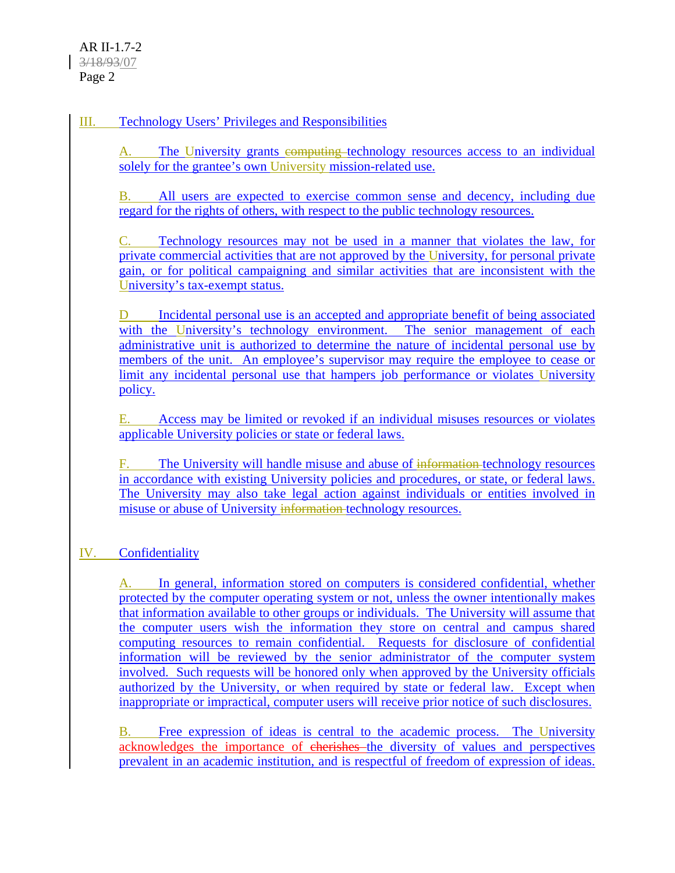## III. Technology Users' Privileges and Responsibilities

A. The University grants computing technology resources access to an individual solely for the grantee's own University mission-related use.

B. All users are expected to exercise common sense and decency, including due regard for the rights of others, with respect to the public technology resources.

C. Technology resources may not be used in a manner that violates the law, for private commercial activities that are not approved by the University, for personal private gain, or for political campaigning and similar activities that are inconsistent with the University's tax-exempt status.

D Incidental personal use is an accepted and appropriate benefit of being associated with the University's technology environment. The senior management of each administrative unit is authorized to determine the nature of incidental personal use by members of the unit. An employee's supervisor may require the employee to cease or limit any incidental personal use that hampers job performance or violates University policy.

E. Access may be limited or revoked if an individual misuses resources or violates applicable University policies or state or federal laws.

F. The University will handle misuse and abuse of information technology resources in accordance with existing University policies and procedures, or state, or federal laws. The University may also take legal action against individuals or entities involved in misuse or abuse of University information technology resources.

# IV. Confidentiality

A. In general, information stored on computers is considered confidential, whether protected by the computer operating system or not, unless the owner intentionally makes that information available to other groups or individuals. The University will assume that the computer users wish the information they store on central and campus shared computing resources to remain confidential. Requests for disclosure of confidential information will be reviewed by the senior administrator of the computer system involved. Such requests will be honored only when approved by the University officials authorized by the University, or when required by state or federal law. Except when inappropriate or impractical, computer users will receive prior notice of such disclosures.

B. Free expression of ideas is central to the academic process. The University acknowledges the importance of cherishes the diversity of values and perspectives prevalent in an academic institution, and is respectful of freedom of expression of ideas.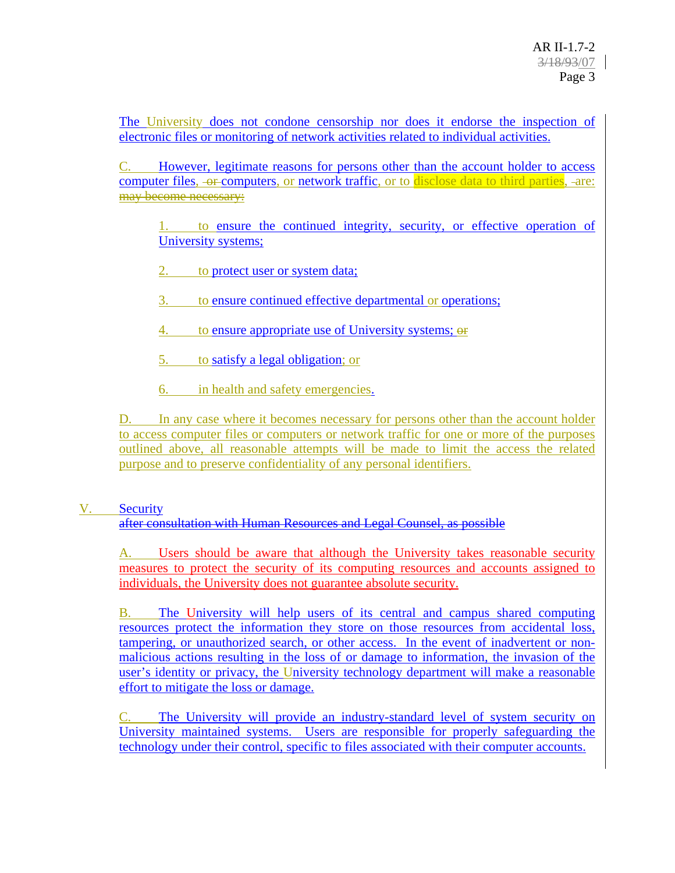The University does not condone censorship nor does it endorse the inspection of electronic files or monitoring of network activities related to individual activities.

C. However, legitimate reasons for persons other than the account holder to access computer files,  $-$ or computers, or network traffic, or to disclose data to third parties, -are: may become necessary:

1. to ensure the continued integrity, security, or effective operation of University systems;

2. to protect user or system data;

- 3. to ensure continued effective departmental or operations;
- 4. to ensure appropriate use of University systems; or
- 5. to satisfy a legal obligation; or
- 6. in health and safety emergencies.

D. In any case where it becomes necessary for persons other than the account holder to access computer files or computers or network traffic for one or more of the purposes outlined above, all reasonable attempts will be made to limit the access the related purpose and to preserve confidentiality of any personal identifiers.

## V. Security

## after consultation with Human Resources and Legal Counsel, as possible

A. Users should be aware that although the University takes reasonable security measures to protect the security of its computing resources and accounts assigned to individuals, the University does not guarantee absolute security.

B. The University will help users of its central and campus shared computing resources protect the information they store on those resources from accidental loss, tampering, or unauthorized search, or other access. In the event of inadvertent or nonmalicious actions resulting in the loss of or damage to information, the invasion of the user's identity or privacy, the University technology department will make a reasonable effort to mitigate the loss or damage.

C. The University will provide an industry-standard level of system security on University maintained systems. Users are responsible for properly safeguarding the technology under their control, specific to files associated with their computer accounts.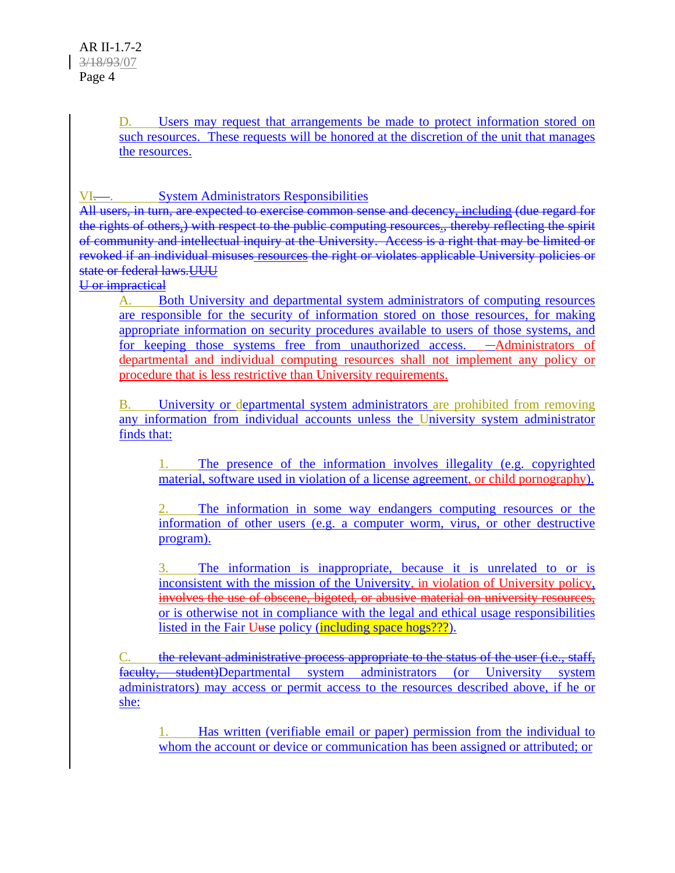D. Users may request that arrangements be made to protect information stored on such resources. These requests will be honored at the discretion of the unit that manages the resources.

VI— System Administrators Responsibilities

All users, in turn, are expected to exercise common sense and decency, including (due regard for the rights of others,) with respect to the public computing resources., thereby reflecting the spirit of community and intellectual inquiry at the University. Access is a right that may be limited or revoked if an individual misuses resources the right or violates applicable University policies or state or federal laws.UUU

U or impractical

A. Both University and departmental system administrators of computing resources are responsible for the security of information stored on those resources, for making appropriate information on security procedures available to users of those systems, and for keeping those systems free from unauthorized access. —Administrators of departmental and individual computing resources shall not implement any policy or procedure that is less restrictive than University requirements.

B. University or departmental system administrators are prohibited from removing any information from individual accounts unless the University system administrator finds that:

1. The presence of the information involves illegality (e.g. copyrighted material, software used in violation of a license agreement, or child pornography).

The information in some way endangers computing resources or the information of other users (e.g. a computer worm, virus, or other destructive program).

The information is inappropriate, because it is unrelated to or is inconsistent with the mission of the University, in violation of University policy, involves the use of obscene, bigoted, or abusive material on university resources, or is otherwise not in compliance with the legal and ethical usage responsibilities listed in the Fair Uuse policy (including space hogs???).

C. the relevant administrative process appropriate to the status of the user (i.e., staff, faculty, student)Departmental system administrators (or University system administrators) may access or permit access to the resources described above, if he or she:

1. Has written (verifiable email or paper) permission from the individual to whom the account or device or communication has been assigned or attributed; or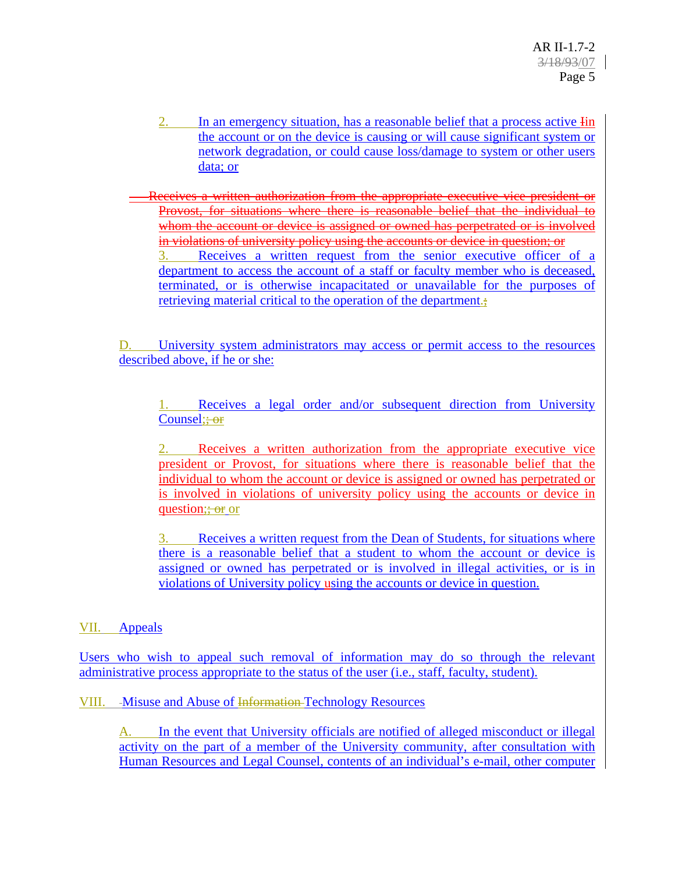- 2. In an emergency situation, has a reasonable belief that a process active Iin the account or on the device is causing or will cause significant system or network degradation, or could cause loss/damage to system or other users data; or
- Receives a written authorization from the appropriate executive vice president or Provost, for situations where there is reasonable belief that the individual to whom the account or device is assigned or owned has perpetrated or is involved in violations of university policy using the accounts or device in question; or 3. Receives a written request from the senior executive officer of a department to access the account of a staff or faculty member who is deceased, terminated, or is otherwise incapacitated or unavailable for the purposes of retrieving material critical to the operation of the department.;

D. University system administrators may access or permit access to the resources described above, if he or she:

Receives a legal order and/or subsequent direction from University Counsel; or

Receives a written authorization from the appropriate executive vice president or Provost, for situations where there is reasonable belief that the individual to whom the account or device is assigned or owned has perpetrated or is involved in violations of university policy using the accounts or device in question; $\div$  or or

3. Receives a written request from the Dean of Students, for situations where there is a reasonable belief that a student to whom the account or device is assigned or owned has perpetrated or is involved in illegal activities, or is in violations of University policy using the accounts or device in question.

## VII. Appeals

Users who wish to appeal such removal of information may do so through the relevant administrative process appropriate to the status of the user (i.e., staff, faculty, student).

VIII. - Misuse and Abuse of Information-Technology Resources

A. In the event that University officials are notified of alleged misconduct or illegal activity on the part of a member of the University community, after consultation with Human Resources and Legal Counsel, contents of an individual's e-mail, other computer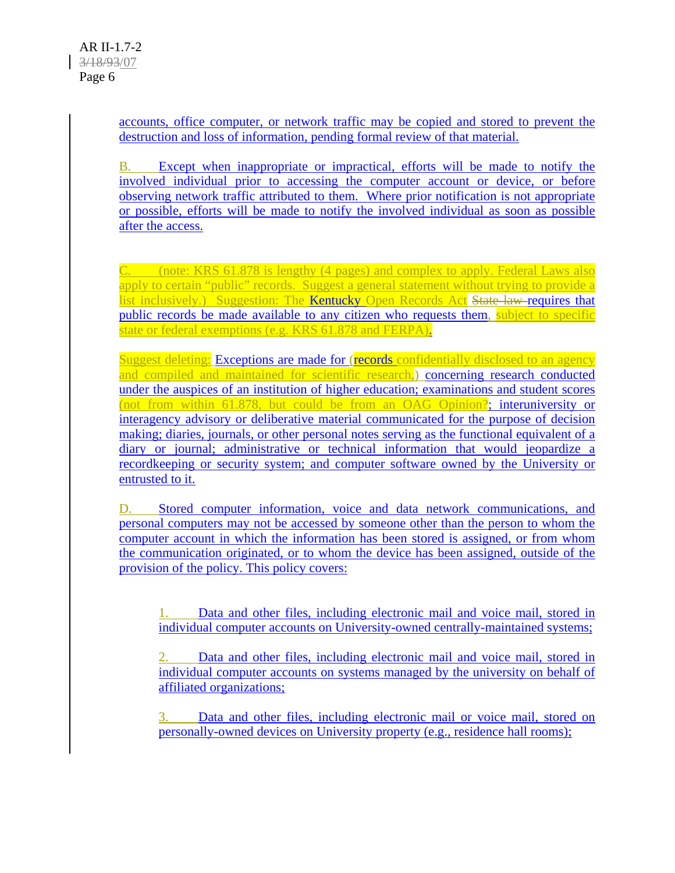accounts, office computer, or network traffic may be copied and stored to prevent the destruction and loss of information, pending formal review of that material.

B. Except when inappropriate or impractical, efforts will be made to notify the involved individual prior to accessing the computer account or device, or before observing network traffic attributed to them. Where prior notification is not appropriate or possible, efforts will be made to notify the involved individual as soon as possible after the access.

C. (note: KRS 61.878 is lengthy (4 pages) and complex to apply. Federal Laws also apply to certain "public" records. Suggest a general statement without trying to provide a list inclusively.) Suggestion: The Kentucky Open Records Act State law requires that public records be made available to any citizen who requests them, subject to specific state or federal exemptions (e.g. KRS 61.878 and FERPA).

Suggest deleting: Exceptions are made for (records confidentially disclosed to an agency and compiled and maintained for scientific research,) concerning research conducted under the auspices of an institution of higher education; examinations and student scores (not from within 61.878, but could be from an OAG Opinion?; interuniversity or interagency advisory or deliberative material communicated for the purpose of decision making; diaries, journals, or other personal notes serving as the functional equivalent of a diary or journal; administrative or technical information that would jeopardize a recordkeeping or security system; and computer software owned by the University or entrusted to it.

D. Stored computer information, voice and data network communications, and personal computers may not be accessed by someone other than the person to whom the computer account in which the information has been stored is assigned, or from whom the communication originated, or to whom the device has been assigned, outside of the provision of the policy. This policy covers:

1. Data and other files, including electronic mail and voice mail, stored in individual computer accounts on University-owned centrally-maintained systems;

Data and other files, including electronic mail and voice mail, stored in individual computer accounts on systems managed by the university on behalf of affiliated organizations;

Data and other files, including electronic mail or voice mail, stored on personally-owned devices on University property (e.g., residence hall rooms);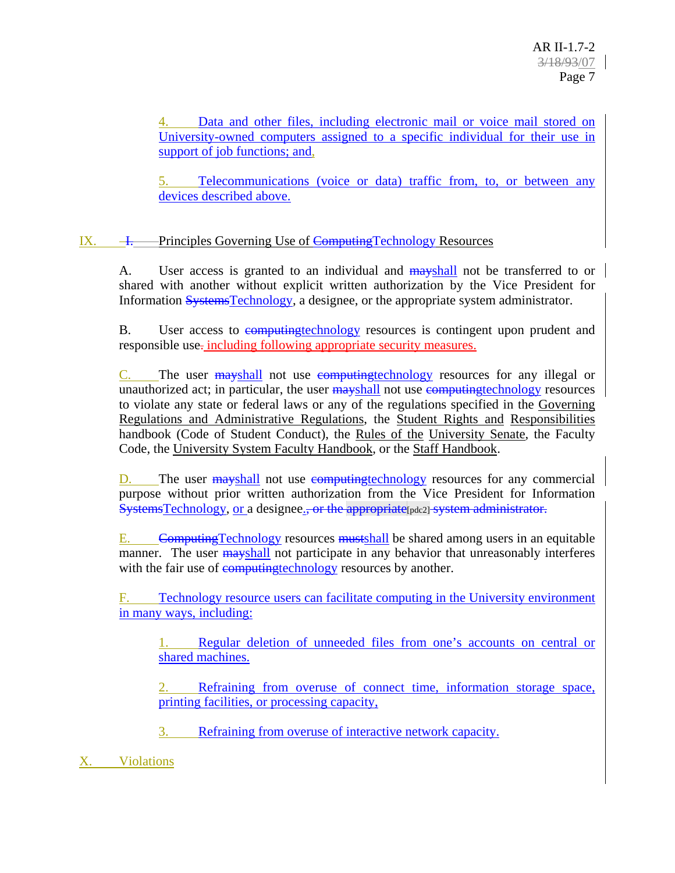Data and other files, including electronic mail or voice mail stored on University-owned computers assigned to a specific individual for their use in support of job functions; and,

Telecommunications (voice or data) traffic from, to, or between any devices described above.

IX.  $\overline{I}$  Principles Governing Use of Computing Technology Resources

A. User access is granted to an individual and may shall not be transferred to or shared with another without explicit written authorization by the Vice President for Information SystemsTechnology, a designee, or the appropriate system administrator.

B. User access to computing technology resources is contingent upon prudent and responsible use-including following appropriate security measures.

C. The user mayshall not use computingtechnology resources for any illegal or unauthorized act; in particular, the user mayshall not use computing technology resources to violate any state or federal laws or any of the regulations specified in the Governing Regulations and Administrative Regulations, the Student Rights and Responsibilities handbook (Code of Student Conduct), the Rules of the University Senate, the Faculty Code, the University System Faculty Handbook, or the Staff Handbook.

D. The user mayshall not use computing technology resources for any commercial purpose without prior written authorization from the Vice President for Information **SystemsTechnology, or a designee.<del>, or the appropriate</del> pdc2] system administrator.** 

E. ComputingTechnology resources mustshall be shared among users in an equitable manner. The user mayshall not participate in any behavior that unreasonably interferes with the fair use of computing technology resources by another.

F. Technology resource users can facilitate computing in the University environment in many ways, including:

Regular deletion of unneeded files from one's accounts on central or shared machines.

2. Refraining from overuse of connect time, information storage space, printing facilities, or processing capacity,

3. Refraining from overuse of interactive network capacity.

X. Violations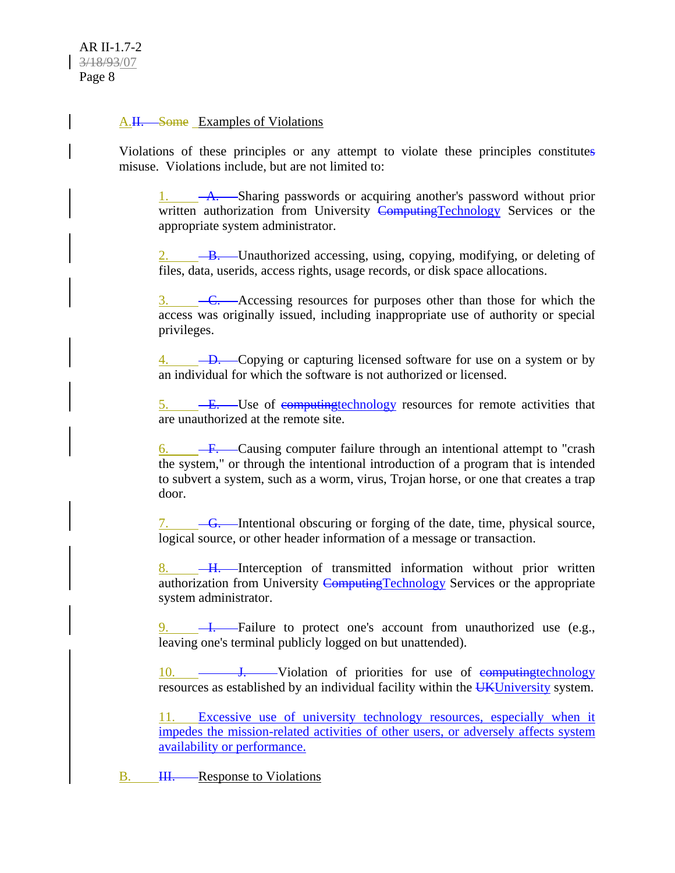#### A.II. Some Examples of Violations

Violations of these principles or any attempt to violate these principles constitutes misuse. Violations include, but are not limited to:

1. A. Sharing passwords or acquiring another's password without prior written authorization from University ComputingTechnology Services or the appropriate system administrator.

2.  $\overline{B}$ . Unauthorized accessing, using, copying, modifying, or deleting of files, data, userids, access rights, usage records, or disk space allocations.

 $\overline{C}$ . Accessing resources for purposes other than those for which the access was originally issued, including inappropriate use of authority or special privileges.

 $\overline{\mathcal{D}}$ . Copying or capturing licensed software for use on a system or by an individual for which the software is not authorized or licensed.

5.  $\overline{E}$ . Use of computing technology resources for remote activities that are unauthorized at the remote site.

6.  $\overline{F}$ . Causing computer failure through an intentional attempt to "crash" the system," or through the intentional introduction of a program that is intended to subvert a system, such as a worm, virus, Trojan horse, or one that creates a trap door.

7.  $\overline{-G}$ . Intentional obscuring or forging of the date, time, physical source, logical source, or other header information of a message or transaction.

8. **H.** Interception of transmitted information without prior written authorization from University ComputingTechnology Services or the appropriate system administrator.

 $\overline{a}$ . Failure to protect one's account from unauthorized use (e.g., leaving one's terminal publicly logged on but unattended).

**1.** Violation of priorities for use of computing technology resources as established by an individual facility within the UKUniversity system.

11. Excessive use of university technology resources, especially when it impedes the mission-related activities of other users, or adversely affects system availability or performance.

B. **III.** Response to Violations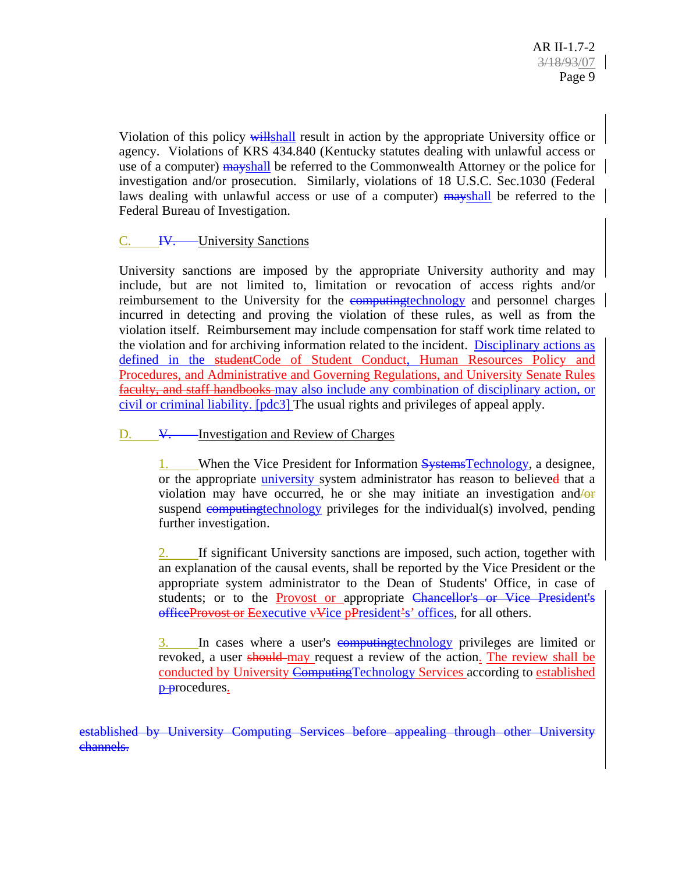Violation of this policy willshall result in action by the appropriate University office or agency. Violations of KRS 434.840 (Kentucky statutes dealing with unlawful access or use of a computer) mayshall be referred to the Commonwealth Attorney or the police for investigation and/or prosecution. Similarly, violations of 18 U.S.C. Sec.1030 (Federal laws dealing with unlawful access or use of a computer) may shall be referred to the Federal Bureau of Investigation.

#### C. **IV.** University Sanctions

University sanctions are imposed by the appropriate University authority and may include, but are not limited to, limitation or revocation of access rights and/or reimbursement to the University for the computing technology and personnel charges incurred in detecting and proving the violation of these rules, as well as from the violation itself. Reimbursement may include compensation for staff work time related to the violation and for archiving information related to the incident. Disciplinary actions as defined in the studentCode of Student Conduct, Human Resources Policy and Procedures, and Administrative and Governing Regulations, and University Senate Rules faculty, and staff handbooks may also include any combination of disciplinary action, or civil or criminal liability. [pdc3] The usual rights and privileges of appeal apply.

#### D. V. Investigation and Review of Charges

1. When the Vice President for Information SystemsTechnology, a designee, or the appropriate university system administrator has reason to believed that a violation may have occurred, he or she may initiate an investigation and  $\sqrt{q}$ suspend computing technology privileges for the individual(s) involved, pending further investigation.

2. If significant University sanctions are imposed, such action, together with an explanation of the causal events, shall be reported by the Vice President or the appropriate system administrator to the Dean of Students' Office, in case of students; or to the Provost or appropriate Chancellor's or Vice President's officeProvost or Eexecutive vVice pPresident's' offices, for all others.

3. In cases where a user's computingtechnology privileges are limited or revoked, a user should may request a review of the action. The review shall be conducted by University ComputingTechnology Services according to established p-procedures.

established by University Computing Services before appealing through other University channels.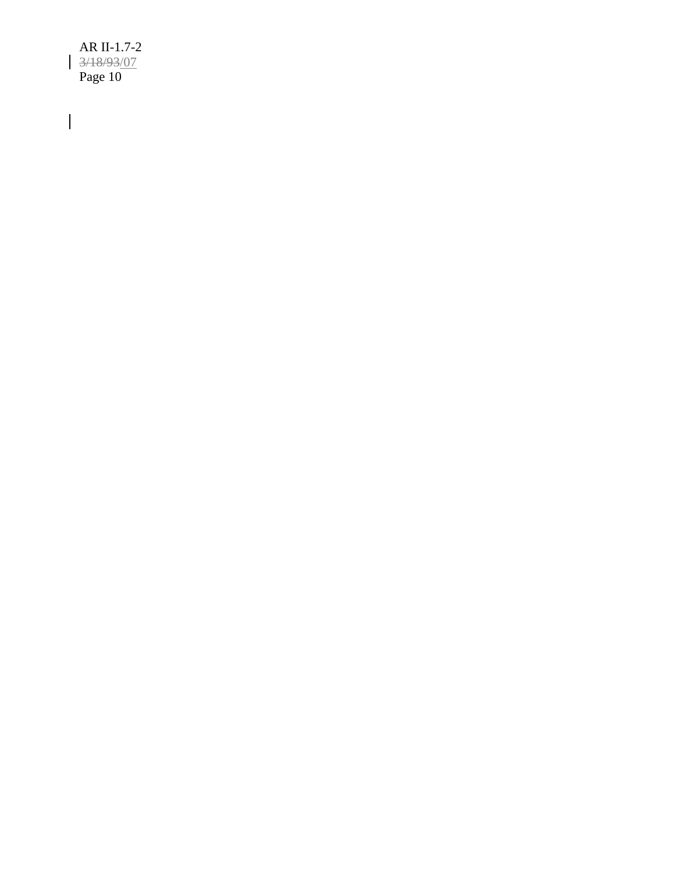AR II-1.7-2 3/18/93/07 Page 10

 $\begin{array}{c} \hline \end{array}$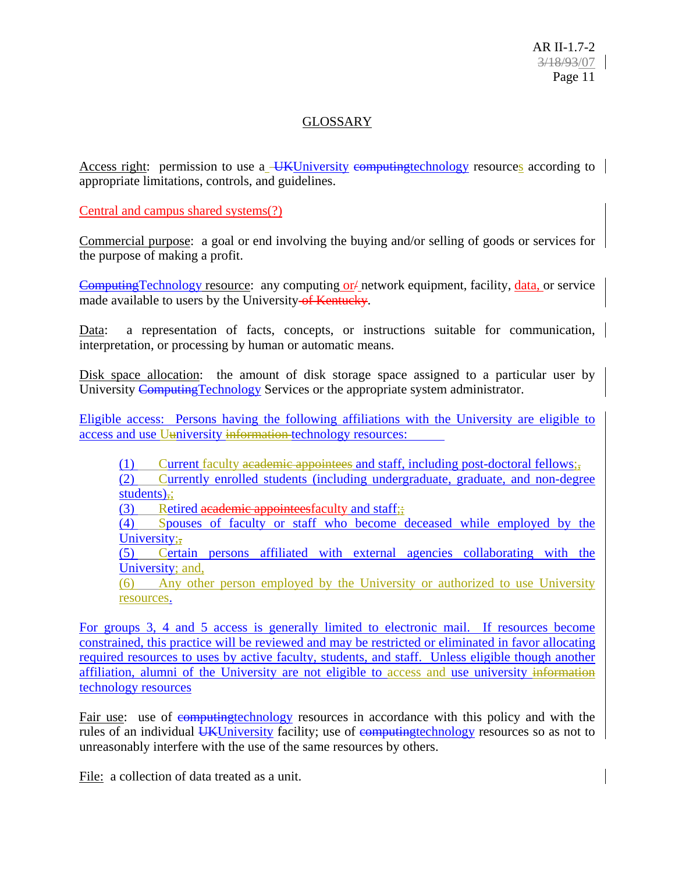# GLOSSARY

Access right: permission to use a\_<del>UKUniversity computing</del>technology resources according to appropriate limitations, controls, and guidelines.

Central and campus shared systems(?)

Commercial purpose: a goal or end involving the buying and/or selling of goods or services for the purpose of making a profit.

Computing Technology resource: any computing or hetwork equipment, facility, data, or service made available to users by the University of Kentucky.

Data: a representation of facts, concepts, or instructions suitable for communication, interpretation, or processing by human or automatic means.

Disk space allocation: the amount of disk storage space assigned to a particular user by University Computing Technology Services or the appropriate system administrator.

Eligible access: Persons having the following affiliations with the University are eligible to access and use Uuniversity information technology resources:

(1) Current faculty academic appointees and staff, including post-doctoral fellows;,

(2) Currently enrolled students (including undergraduate, graduate, and non-degree students);

(3) Retired academic appointeesfaculty and staff:

(4) Spouses of faculty or staff who become deceased while employed by the University:-

(5) Certain persons affiliated with external agencies collaborating with the University; and,

(6) Any other person employed by the University or authorized to use University resources.

For groups 3, 4 and 5 access is generally limited to electronic mail. If resources become constrained, this practice will be reviewed and may be restricted or eliminated in favor allocating required resources to uses by active faculty, students, and staff. Unless eligible though another affiliation, alumni of the University are not eligible to access and use university information technology resources

Fair use: use of computing technology resources in accordance with this policy and with the rules of an individual UKUniversity facility; use of computing technology resources so as not to unreasonably interfere with the use of the same resources by others.

File: a collection of data treated as a unit.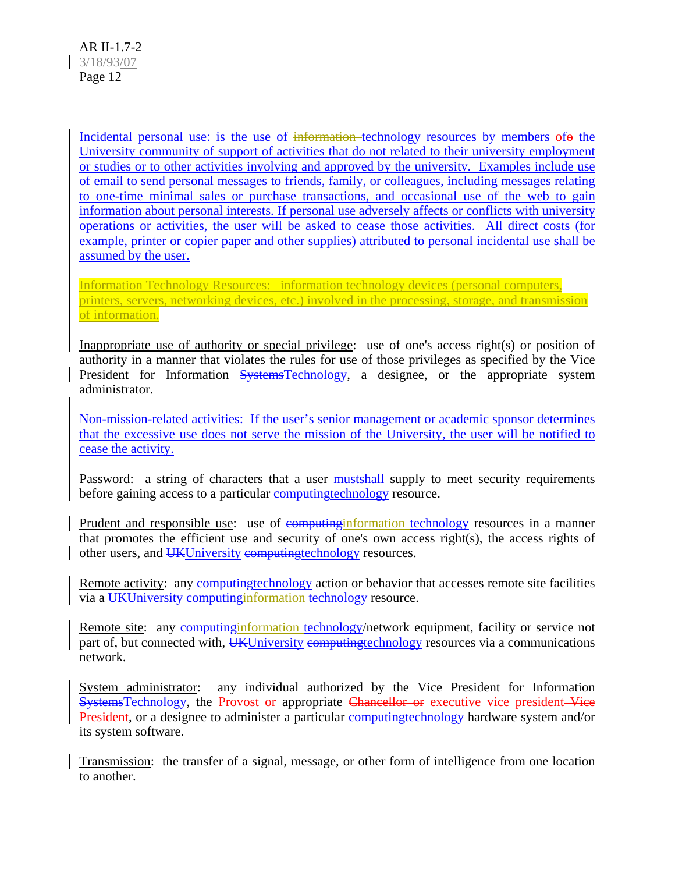Incidental personal use: is the use of information-technology resources by members of the University community of support of activities that do not related to their university employment or studies or to other activities involving and approved by the university. Examples include use of email to send personal messages to friends, family, or colleagues, including messages relating to one-time minimal sales or purchase transactions, and occasional use of the web to gain information about personal interests. If personal use adversely affects or conflicts with university operations or activities, the user will be asked to cease those activities. All direct costs (for example, printer or copier paper and other supplies) attributed to personal incidental use shall be assumed by the user.

Information Technology Resources: information technology devices (personal computers, printers, servers, networking devices, etc.) involved in the processing, storage, and transmission of information.

Inappropriate use of authority or special privilege: use of one's access right(s) or position of authority in a manner that violates the rules for use of those privileges as specified by the Vice President for Information SystemsTechnology, a designee, or the appropriate system administrator.

Non-mission-related activities: If the user's senior management or academic sponsor determines that the excessive use does not serve the mission of the University, the user will be notified to cease the activity.

Password: a string of characters that a user **mustshall** supply to meet security requirements before gaining access to a particular computing technology resource.

Prudent and responsible use: use of computing information technology resources in a manner that promotes the efficient use and security of one's own access right(s), the access rights of other users, and UKUniversity computingtechnology resources.

Remote activity: any computing technology action or behavior that accesses remote site facilities via a UKUniversity computing information technology resource.

Remote site: any computing enformation technology/network equipment, facility or service not part of, but connected with, UKUniversity computing technology resources via a communications network.

System administrator: any individual authorized by the Vice President for Information SystemsTechnology, the Provost or appropriate Chancellor or executive vice president-Vice **President**, or a designee to administer a particular computing technology hardware system and/or its system software.

Transmission: the transfer of a signal, message, or other form of intelligence from one location to another.